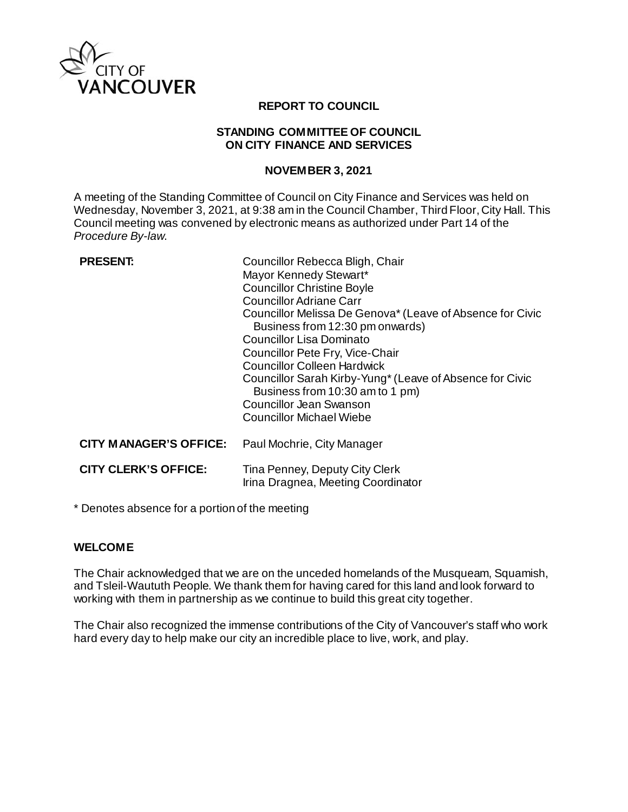

# **REPORT TO COUNCIL**

### **STANDING COMMITTEE OF COUNCIL ON CITY FINANCE AND SERVICES**

### **NOVEMBER 3, 2021**

A meeting of the Standing Committee of Council on City Finance and Services was held on Wednesday, November 3, 2021, at 9:38 am in the Council Chamber, Third Floor, City Hall. This Council meeting was convened by electronic means as authorized under Part 14 of the *Procedure By-law*.

| <b>PRESENT:</b>               | Councillor Rebecca Bligh, Chair<br>Mayor Kennedy Stewart*<br><b>Councillor Christine Boyle</b><br><b>Councillor Adriane Carr</b><br>Councillor Melissa De Genova* (Leave of Absence for Civic<br>Business from 12:30 pm onwards)<br>Councillor Lisa Dominato<br>Councillor Pete Fry, Vice-Chair<br><b>Councillor Colleen Hardwick</b><br>Councillor Sarah Kirby-Yung* (Leave of Absence for Civic<br>Business from 10:30 am to 1 pm)<br>Councillor Jean Swanson<br>Councillor Michael Wiebe |
|-------------------------------|---------------------------------------------------------------------------------------------------------------------------------------------------------------------------------------------------------------------------------------------------------------------------------------------------------------------------------------------------------------------------------------------------------------------------------------------------------------------------------------------|
| <b>CITY MANAGER'S OFFICE:</b> | Paul Mochrie, City Manager                                                                                                                                                                                                                                                                                                                                                                                                                                                                  |
| <b>CITY CLERK'S OFFICE:</b>   | Tina Penney, Deputy City Clerk<br>Irina Dragnea, Meeting Coordinator                                                                                                                                                                                                                                                                                                                                                                                                                        |

\* Denotes absence for a portion of the meeting

# **WELCOME**

The Chair acknowledged that we are on the unceded homelands of the Musqueam, Squamish, and Tsleil-Waututh People. We thank them for having cared for this land and look forward to working with them in partnership as we continue to build this great city together.

The Chair also recognized the immense contributions of the City of Vancouver's staff who work hard every day to help make our city an incredible place to live, work, and play.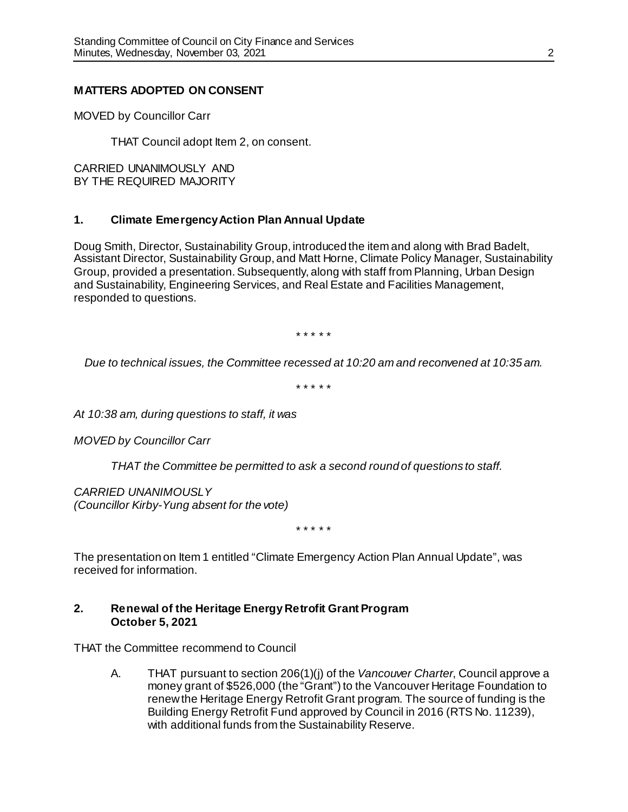# **MATTERS ADOPTED ON CONSENT**

MOVED by Councillor Carr

THAT Council adopt Item 2, on consent.

CARRIED UNANIMOUSLY AND BY THE REQUIRED MAJORITY

# **1. Climate Emergency Action Plan Annual Update**

Doug Smith, Director, Sustainability Group, introduced the item and along with Brad Badelt, Assistant Director, Sustainability Group, and Matt Horne, Climate Policy Manager, Sustainability Group, provided a presentation. Subsequently, along with staff from Planning, Urban Design and Sustainability, Engineering Services, and Real Estate and Facilities Management, responded to questions.

\* \* \* \* \*

*Due to technical issues, the Committee recessed at 10:20 am and reconvened at 10:35 am.*

\* \* \* \* \*

*At 10:38 am, during questions to staff, it was*

*MOVED by Councillor Carr*

*THAT the Committee be permitted to ask a second round of questions to staff.*

*CARRIED UNANIMOUSLY*

*(Councillor Kirby-Yung absent for the vote)*

\* \* \* \* \*

The presentation on Item 1 entitled "Climate Emergency Action Plan Annual Update", was received for information.

### **2. Renewal of the Heritage Energy Retrofit Grant Program October 5, 2021**

THAT the Committee recommend to Council

A. THAT pursuant to section 206(1)(j) of the *Vancouver Charter*, Council approve a money grant of \$526,000 (the "Grant") to the Vancouver Heritage Foundation to renew the Heritage Energy Retrofit Grant program. The source of funding is the Building Energy Retrofit Fund approved by Council in 2016 (RTS No. 11239), with additional funds from the Sustainability Reserve.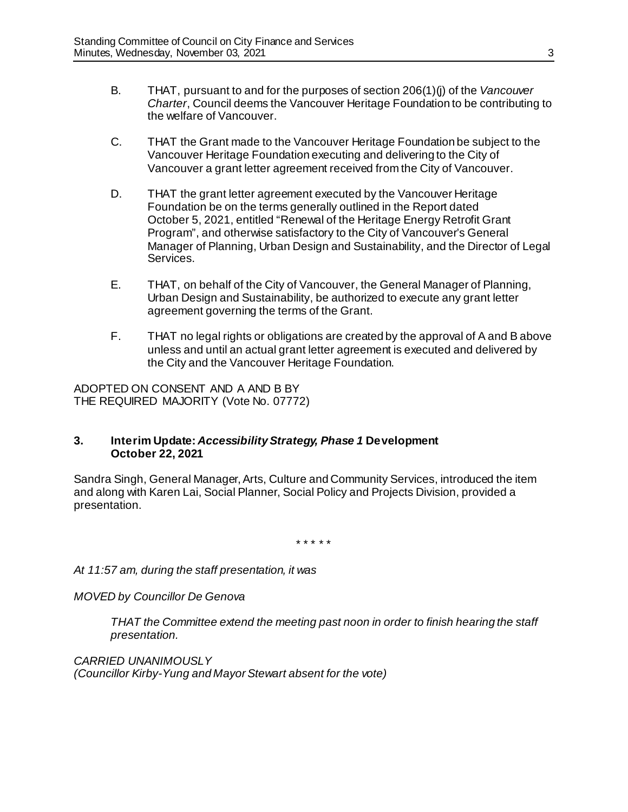- B. THAT, pursuant to and for the purposes of section 206(1)(j) of the *Vancouver Charter*, Council deems the Vancouver Heritage Foundation to be contributing to the welfare of Vancouver.
- C. THAT the Grant made to the Vancouver Heritage Foundation be subject to the Vancouver Heritage Foundation executing and delivering to the City of Vancouver a grant letter agreement received from the City of Vancouver.
- D. THAT the grant letter agreement executed by the Vancouver Heritage Foundation be on the terms generally outlined in the Report dated October 5, 2021, entitled "Renewal of the Heritage Energy Retrofit Grant Program", and otherwise satisfactory to the City of Vancouver's General Manager of Planning, Urban Design and Sustainability, and the Director of Legal Services.
- E. THAT, on behalf of the City of Vancouver, the General Manager of Planning, Urban Design and Sustainability, be authorized to execute any grant letter agreement governing the terms of the Grant.
- F. THAT no legal rights or obligations are created by the approval of A and B above unless and until an actual grant letter agreement is executed and delivered by the City and the Vancouver Heritage Foundation.

ADOPTED ON CONSENT AND A AND B BY THE REQUIRED MAJORITY (Vote No. 07772)

# **3. Interim Update:** *Accessibility Strategy, Phase 1* **Development October 22, 2021**

Sandra Singh, General Manager, Arts, Culture and Community Services, introduced the item and along with Karen Lai, Social Planner, Social Policy and Projects Division, provided a presentation.

\* \* \* \* \*

*At 11:57 am, during the staff presentation, it was*

*MOVED by Councillor De Genova*

*THAT the Committee extend the meeting past noon in order to finish hearing the staff presentation.*

*CARRIED UNANIMOUSLY (Councillor Kirby-Yung and Mayor Stewart absent for the vote)*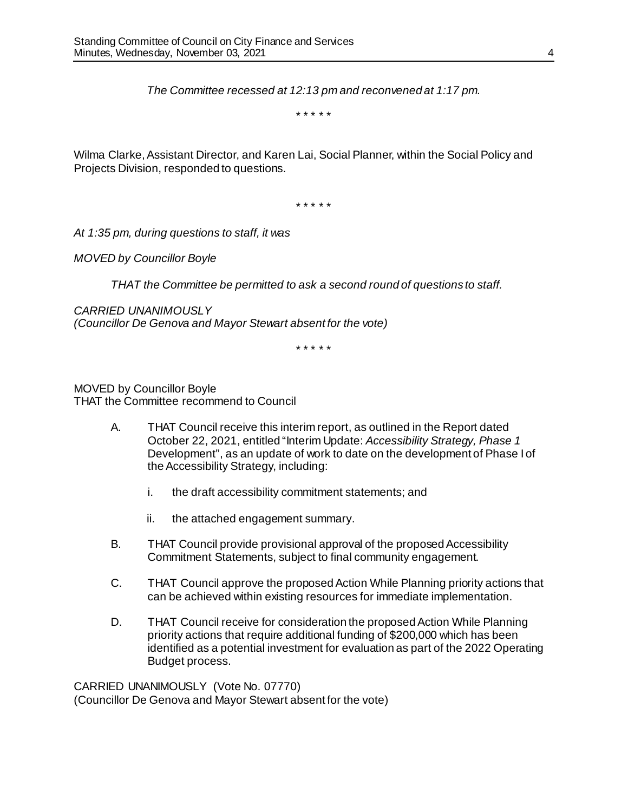*The Committee recessed at 12:13 pm and reconvened at 1:17 pm.*

\* \* \* \* \*

Wilma Clarke, Assistant Director, and Karen Lai, Social Planner, within the Social Policy and Projects Division, responded to questions.

\* \* \* \* \*

*At 1:35 pm, during questions to staff, it was*

*MOVED by Councillor Boyle*

*THAT the Committee be permitted to ask a second round of questions to staff.*

*CARRIED UNANIMOUSLY (Councillor De Genova and Mayor Stewart absent for the vote)*

\* \* \* \* \*

MOVED by Councillor Boyle THAT the Committee recommend to Council

- A. THAT Council receive this interim report, as outlined in the Report dated October 22, 2021, entitled "Interim Update: *Accessibility Strategy, Phase 1* Development", as an update of work to date on the development of Phase I of the Accessibility Strategy, including:
	- i. the draft accessibility commitment statements; and
	- ii. the attached engagement summary.
- B. THAT Council provide provisional approval of the proposed Accessibility Commitment Statements, subject to final community engagement.
- C. THAT Council approve the proposed Action While Planning priority actions that can be achieved within existing resources for immediate implementation.
- D. THAT Council receive for consideration the proposed Action While Planning priority actions that require additional funding of \$200,000 which has been identified as a potential investment for evaluation as part of the 2022 Operating Budget process.

CARRIED UNANIMOUSLY (Vote No. 07770) (Councillor De Genova and Mayor Stewart absent for the vote)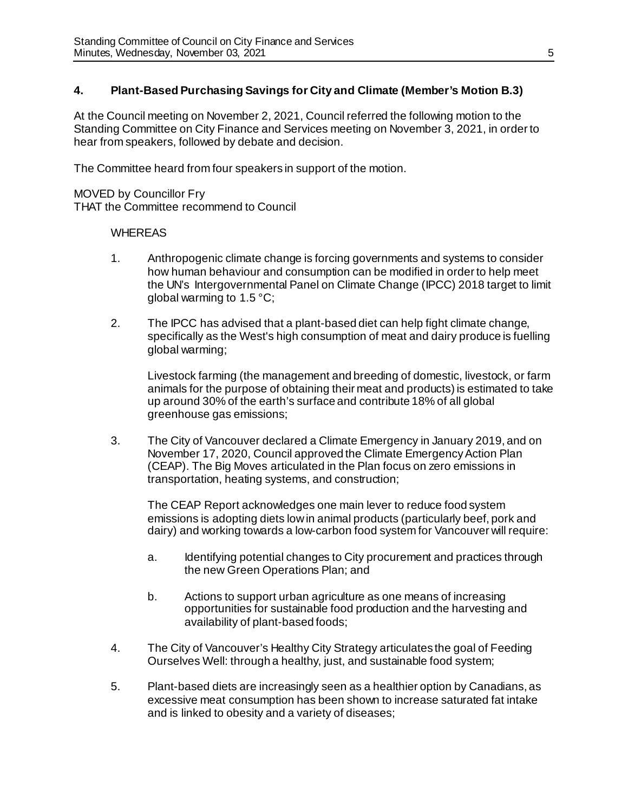# **4. Plant-Based Purchasing Savings for City and Climate (Member's Motion B.3)**

At the Council meeting on November 2, 2021, Council referred the following motion to the Standing Committee on City Finance and Services meeting on November 3, 2021, in order to hear from speakers, followed by debate and decision.

The Committee heard from four speakers in support of the motion.

MOVED by Councillor Fry THAT the Committee recommend to Council

# **WHEREAS**

- 1. Anthropogenic climate change is forcing governments and systems to consider how human behaviour and consumption can be modified in order to help meet the UN's Intergovernmental Panel on Climate Change (IPCC) 2018 target to limit global warming to 1.5 °C;
- 2. The IPCC has advised that a plant-based diet can help fight climate change, specifically as the West's high consumption of meat and dairy produce is fuelling global warming;

Livestock farming (the management and breeding of domestic, livestock, or farm animals for the purpose of obtaining their meat and products) is estimated to take up around 30% of the earth's surface and contribute 18% of all global greenhouse gas emissions;

3. The City of Vancouver declared a Climate Emergency in January 2019, and on November 17, 2020, Council approved the Climate Emergency Action Plan (CEAP). The Big Moves articulated in the Plan focus on zero emissions in transportation, heating systems, and construction;

The CEAP Report acknowledges one main lever to reduce food system emissions is adopting diets low in animal products (particularly beef, pork and dairy) and working towards a low-carbon food system for Vancouver will require:

- a. Identifying potential changes to City procurement and practices through the new Green Operations Plan; and
- b. Actions to support urban agriculture as one means of increasing opportunities for sustainable food production and the harvesting and availability of plant-based foods;
- 4. The City of Vancouver's Healthy City Strategy articulates the goal of Feeding Ourselves Well: through a healthy, just, and sustainable food system;
- 5. Plant-based diets are increasingly seen as a healthier option by Canadians, as excessive meat consumption has been shown to increase saturated fat intake and is linked to obesity and a variety of diseases;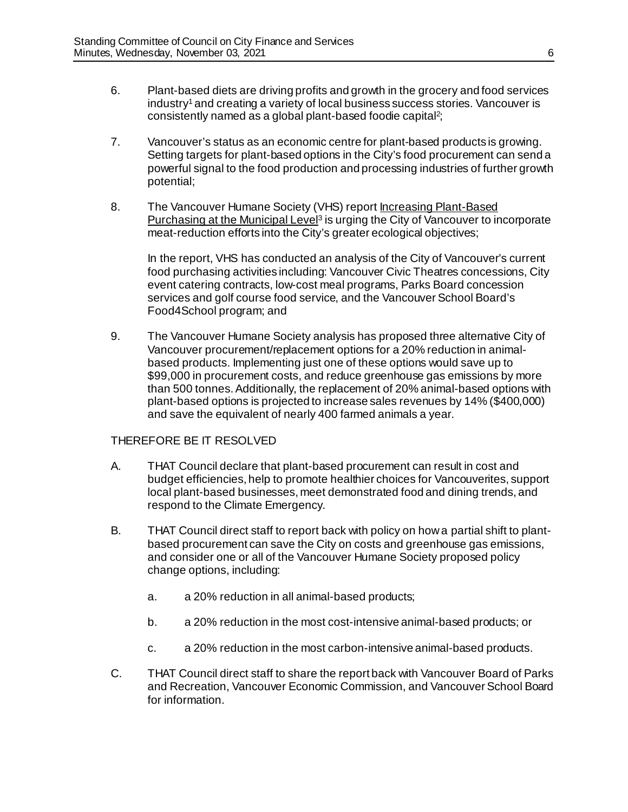- 6. Plant-based diets are driving profits and growth in the grocery and food services industry<sup>1</sup> and creating a variety of local business success stories. Vancouver is consistently named as a global plant-based foodie capital<sup>2</sup>;
- 7. Vancouver's status as an economic centre for plant-based products is growing. Setting targets for plant-based options in the City's food procurement can send a powerful signal to the food production and processing industries of further growth potential;
- 8. The Vancouver Humane Society (VHS) report Increasing Plant-Based Purchasing at the Municipal Level<sup>3</sup> is urging the City of Vancouver to incorporate meat-reduction efforts into the City's greater ecological objectives;

In the report, VHS has conducted an analysis of the City of Vancouver's current food purchasing activities including: Vancouver Civic Theatres concessions, City event catering contracts, low-cost meal programs, Parks Board concession services and golf course food service, and the Vancouver School Board's Food4School program; and

9. The Vancouver Humane Society analysis has proposed three alternative City of Vancouver procurement/replacement options for a 20% reduction in animalbased products. Implementing just one of these options would save up to \$99,000 in procurement costs, and reduce greenhouse gas emissions by more than 500 tonnes. Additionally, the replacement of 20% animal-based options with plant-based options is projected to increase sales revenues by 14% (\$400,000) and save the equivalent of nearly 400 farmed animals a year.

# THEREFORE BE IT RESOLVED

- A. THAT Council declare that plant-based procurement can result in cost and budget efficiencies, help to promote healthier choices for Vancouverites, support local plant-based businesses, meet demonstrated food and dining trends, and respond to the Climate Emergency.
- **B.** THAT Council direct staff to report back with policy on how a partial shift to plantbased procurement can save the City on costs and greenhouse gas emissions, and consider one or all of the Vancouver Humane Society proposed policy change options, including:
	- a. a 20% reduction in all animal-based products;
	- b. a 20% reduction in the most cost-intensive animal-based products; or
	- c. a 20% reduction in the most carbon-intensive animal-based products.
- C. THAT Council direct staff to share the report back with Vancouver Board of Parks and Recreation, Vancouver Economic Commission, and Vancouver School Board for information.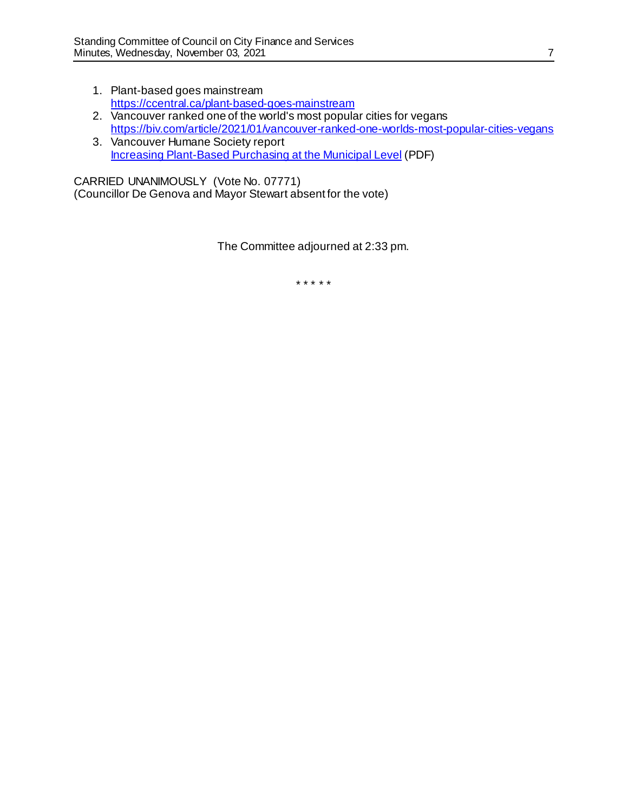- 1. Plant-based goes mainstream <https://ccentral.ca/plant-based-goes-mainstream>
- 2. Vancouver ranked one of the world's most popular cities for vegans <https://biv.com/article/2021/01/vancouver-ranked-one-worlds-most-popular-cities-vegans>
- 3. Vancouver Humane Society report [Increasing Plant-Based Purchasing at the Municipal Level](https://vancouverhumanesociety.bc.ca/wp-content/uploads/2020/05/VHSCostBenefitAnalysis_Vancouver_June22.pdf) (PDF)

CARRIED UNANIMOUSLY (Vote No. 07771) (Councillor De Genova and Mayor Stewart absent for the vote)

The Committee adjourned at 2:33 pm.

\* \* \* \* \*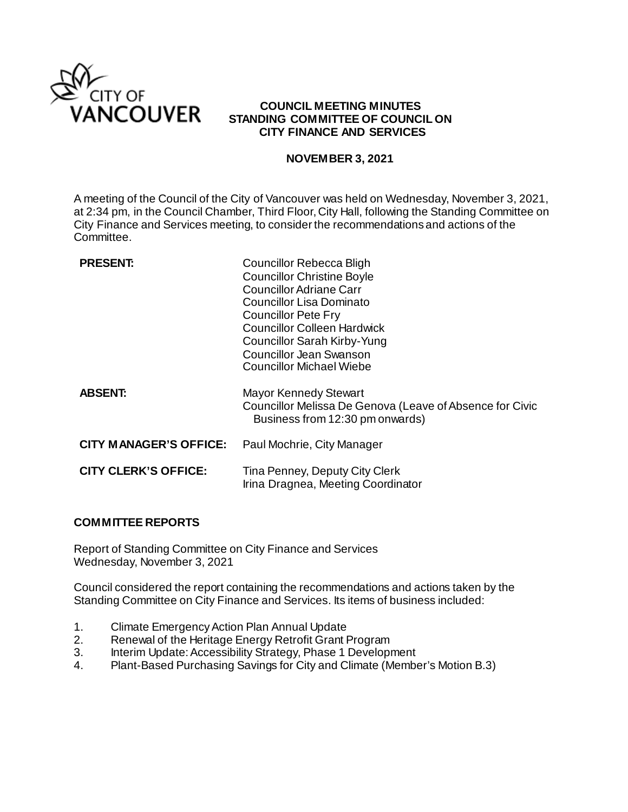

# **COUNCIL MEETING MINUTES STANDING COMMITTEE OF COUNCIL ON CITY FINANCE AND SERVICES**

### **NOVEMBER 3, 2021**

A meeting of the Council of the City of Vancouver was held on Wednesday, November 3, 2021, at 2:34 pm, in the Council Chamber, Third Floor, City Hall, following the Standing Committee on City Finance and Services meeting, to consider the recommendations and actions of the Committee.

| <b>PRESENT:</b>               | Councillor Rebecca Bligh<br><b>Councillor Christine Boyle</b><br><b>Councillor Adriane Carr</b><br>Councillor Lisa Dominato<br><b>Councillor Pete Fry</b><br><b>Councillor Colleen Hardwick</b><br>Councillor Sarah Kirby-Yung<br><b>Councillor Jean Swanson</b><br>Councillor Michael Wiebe |
|-------------------------------|----------------------------------------------------------------------------------------------------------------------------------------------------------------------------------------------------------------------------------------------------------------------------------------------|
| <b>ABSENT:</b>                | <b>Mayor Kennedy Stewart</b><br>Councillor Melissa De Genova (Leave of Absence for Civic<br>Business from 12:30 pm onwards)                                                                                                                                                                  |
| <b>CITY MANAGER'S OFFICE:</b> | Paul Mochrie, City Manager                                                                                                                                                                                                                                                                   |
| <b>CITY CLERK'S OFFICE:</b>   | Tina Penney, Deputy City Clerk<br>Irina Dragnea, Meeting Coordinator                                                                                                                                                                                                                         |

# **COMMITTEE REPORTS**

Report of Standing Committee on City Finance and Services Wednesday, November 3, 2021

Council considered the report containing the recommendations and actions taken by the Standing Committee on City Finance and Services. Its items of business included:

- 1. Climate Emergency Action Plan Annual Update<br>2. Renewal of the Heritage Energy Retrofit Grant F
- Renewal of the Heritage Energy Retrofit Grant Program
- 3. Interim Update: Accessibility Strategy, Phase 1 Development
- 4. Plant-Based Purchasing Savings for City and Climate (Member's Motion B.3)